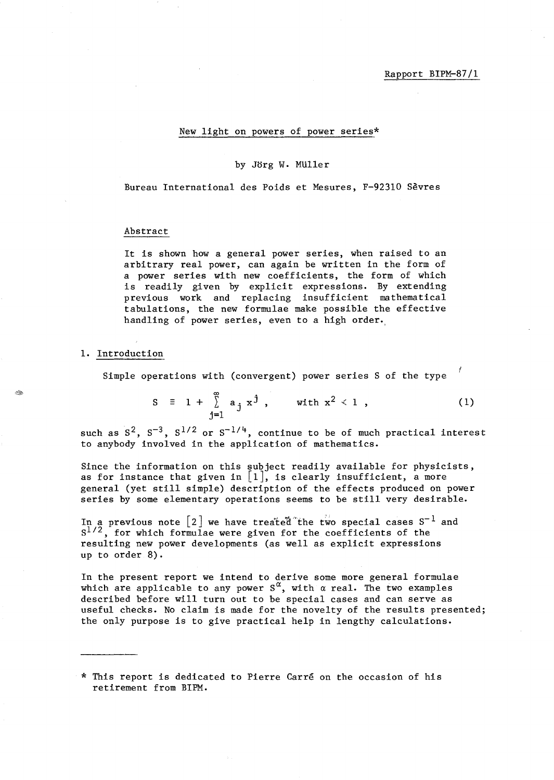# New light on powers of power series\*

#### by Jorg W. MUller

Bureau International des Poids et Mesures, F-92310 Sevres

#### Abstract

It is shown how a general power series, when raised to an arbitrary real power, can again be written in the form of a power series with new coefficients, the form of which is readily given by explicit expressions. By extending previous work and replacing insufficient mathematical tabulations, the new formulae make possible the effective handling of power series, even to a high order.

#### **1.** Introduction

Simple operations with (convergent) power series S of the type

$$
S = 1 + \sum_{j=1}^{\infty} a_j x^j, \quad \text{with } x^2 < 1,
$$
 (1)

such as  $S^2$ ,  $S^{-3}$ ,  $S^{1/2}$  or  $S^{-1/4}$ , continue to be of much practical interest to anybody involved in the application of mathematics.

Since the information on this subject readily available for physicists, as for instance that given in  $[1]$ , is clearly insufficient, a more general (yet still simple) description of the effects produced on power series by some elementary operations seems to be still very desirable.

In a previous note  $\left[2\right]$  we have treated the two special cases  $\texttt{S}^{-1}$  and *S1/2,* for which formulae were given for the coefficients of the resulting new power developments (as well as explicit expressions up to order 8).

In the present report we intend to derive some more general formulae which are applicable to any power  $S^{\alpha}$ , with  $\alpha$  real. The two examples described before will turn out to be special cases and can serve as useful checks. No claim is made for the novelty of the results presented; the only purpose is to give practical help in lengthy calculations.

<sup>\*</sup> This report is dedicated to Pierre Carre on the occasion of his retirement from BIPM.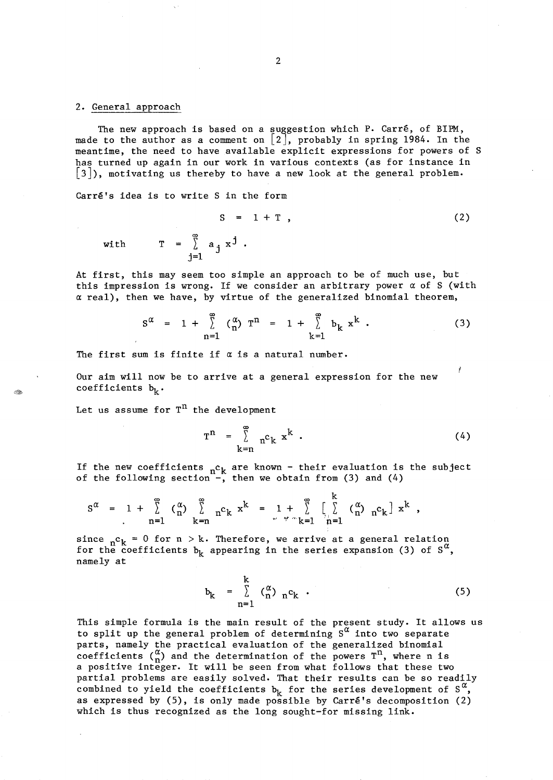## 2. General approach

The new approach is based on a suggestion which P. Carré, of BIPM, made to the author as a comment on [2], probably in spring 1984. In the meantime, the need to have available explicit expressions for powers of S has turned up again in our work in various contexts (as for instance in [3]), motivating us thereby to have a new look at the general problem.

Carré's idea is to write S in the form

 $S = 1 + T$ , (2) with  $T = \int_{i=1}^{\infty} a_j x^j$ .

At first, this may seem too simple an approach to be of much use, but this impression is wrong. If we consider an arbitrary power *a* of S (with *a* real), then we have, by virtue of the generalized binomial theorem,

$$
S^{\alpha} = 1 + \sum_{n=1}^{\infty} (\begin{matrix} \alpha \\ n \end{matrix}) T^{n} = 1 + \sum_{k=1}^{\infty} b_{k} x^{k}.
$$
 (3)

The first sum is finite if *a* is a natural number.

Our aim will now be to arrive at a general expression for the new coefficients  $b_k$ .

Let us assume for  $T^n$  the development

$$
T^{n} = \sum_{k=n}^{\infty} n^{c} k x^{k}
$$
 (4)

 $\mathbf{L}$ 

If the new coefficients  ${}_{\sf n} {\sf c}_{\sf k}$  are known - their evaluation is the subject of the following section<sup>"-</sup>, then we obtain from (3) and (4)

$$
S^{\alpha} = 1 + \sum_{n=1}^{\infty} \binom{\alpha}{n} \sum_{k=n}^{\infty} n^{c} k^{k} = 1 + \sum_{\substack{m=1 \ n \neq n}}^{\infty} \left[ \sum_{n=1}^{K} \binom{\alpha}{n} n^{c} k \right] x^{k},
$$

since  $n^c$ <sub>k</sub> = 0 for n > k. Therefore, we arrive at a general relation for the coefficients  $b_k$  appearing in the series expansion (3) of  $S^{\alpha}$ , namely at

$$
b_k = \sum_{n=1}^{K} \binom{\alpha}{n} n^c k . \tag{5}
$$

This simple formula is the main result of the present study. It allows us to split up the general problem of determining  $S^{\alpha}$  into two separate parts, namely the practical evaluation of the generalized binomial coefficients  $\begin{pmatrix} \alpha \\ n \end{pmatrix}$  and the determination of the powers  $T^n$ , where n is a positive integer. It will be seen from what follows that these two partial problems are easily solved. That their results can be so readily combined to yield the coefficients  $b_k$  for the series development of  $S^{\alpha}$ , as expressed by  $(5)$ , is only made possible by Carré's decomposition  $(2)$ which is thus recognized as the long sought-for missing link.

Ø.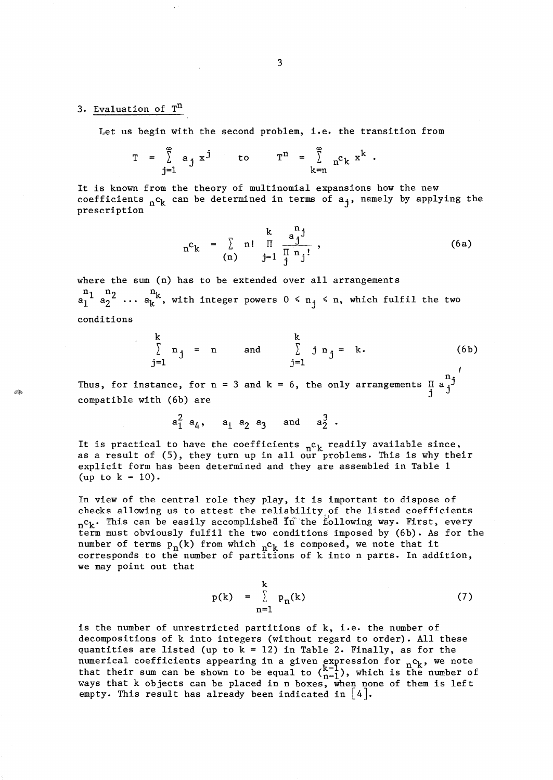# 3. Evaluation of T<sup>n</sup>

Let us begin with the second problem, i.e. the transition from

$$
T = \sum_{j=1}^{\infty} a_j x^j
$$
 to 
$$
T^n = \sum_{k=n}^{\infty} n^c k x^k
$$

It is known from the theory of multinomial expansions how the new coefficients  $nC_k$  can be determined in terms of  $a_j$ , namely by applying the prescription

$$
n^{c}k = \sum_{(n)} n! \prod_{j=1}^{k} \frac{a_j^{n_j}}{\prod_{j=1}^{n} n_j!},
$$
 (6a)

where the sum (n) has to be extended over all arrangements  $\begin{array}{cc} n_1 & n_2 \\ n_1 & a_2 \end{array}$  ...  $\begin{array}{cc} n_k \\ n_k \end{array}$ , with integer powers  $0 \le n_j \le n$ , which fulfil the two conditions

$$
\sum_{j=1}^{k} n_j = n \quad \text{and} \quad \sum_{j=1}^{k} j n_j = k. \quad (6b)
$$

Thus, for instance, for  $n = 3$  and k compatible with (6b) are 6, the only arrangements  $\begin{smallmatrix}&&n\1&a\end{smallmatrix}$ 

$$
a_1^2 a_4
$$
,  $a_1 a_2 a_3$  and  $a_2^3$ .

It is practical to have the coefficients  $n_c$ <sup>c</sup><sub>k</sub> readily available since, as a result of  $(5)$ , they turn up in all our problems. This is why their explicit form has been determined and they are assembled in Table 1 (up to  $k = 10$ ).

In view of the central role they play, it is important to dispose of checks allowing us to attest the reliability of the listed coefficients  $n^{\text{c}}$ . This can be easily accomplished In the following way. First, every term must obviously fulfil the two conditions imposed by (6b). As for the number of terms  $p_n(k)$  from which  $n^c k$  is composed, we note that it corresponds to the number of partitions of k into n parts. In addition, we may point out that

$$
p(k) = \sum_{n=1}^{k} p_n(k) \tag{7}
$$

is the number of unrestricted partitions of k, i.e. the number of decompositions of k into integers (without regard to order). All these quantities are listed (up to  $k = 12$ ) in Table 2. Finally, as for the numerical coefficients appearing in a given expression for  ${}_{n}c_{k}$ , we note that their sum can be shown to be equal to  $\binom{k-1}{n-1}$ , which is the number of ways that k objects can be placed in n boxes, when none of them is left empty. This result has already been indicated in  $\lfloor 4 \rfloor$ .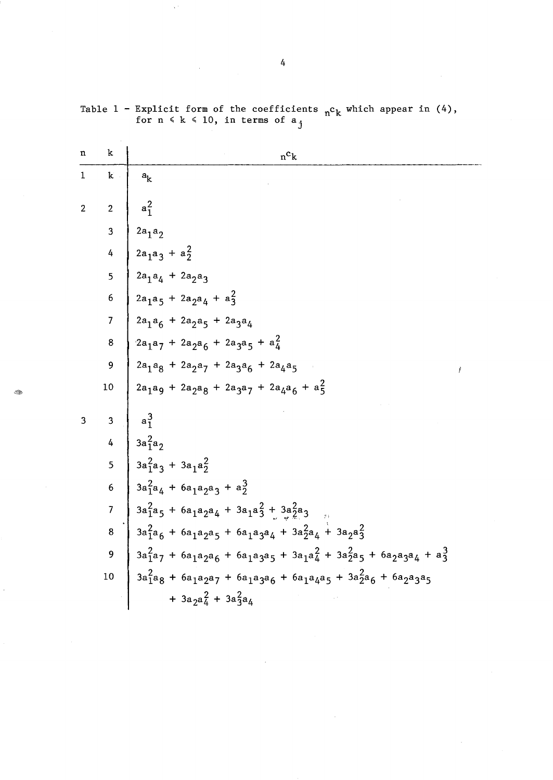| n              | k                       | $n^c$ k                                                                                                         |
|----------------|-------------------------|-----------------------------------------------------------------------------------------------------------------|
| $\mathbf 1$    | $\mathbf{k}$            | $a_k$                                                                                                           |
| $\overline{2}$ | $\overline{2}$          | $a_1^2$                                                                                                         |
|                | $\overline{3}$          | $2a_1a_2$                                                                                                       |
|                | 4                       | $2a_1a_3 + a_2^2$                                                                                               |
|                | 5                       | $2a_1a_4 + 2a_2a_3$                                                                                             |
|                | $\boldsymbol{6}$        | $2a_1a_5 + 2a_2a_4 + a_3^2$                                                                                     |
|                | $\overline{7}$          | $2a_1a_6 + 2a_2a_5 + 2a_3a_4$                                                                                   |
|                | $\bf 8$                 | $2a_1a_7 + 2a_2a_6 + 2a_3a_5 + a_4^2$                                                                           |
|                | 9                       | $2a_1a_8 + 2a_2a_7 + 2a_3a_6 + 2a_4a_5$                                                                         |
|                | 10                      | $2a_1a_9 + 2a_2a_8 + 2a_3a_7 + 2a_4a_6 + a_5^2$                                                                 |
| 3              | $\overline{\mathbf{3}}$ | $a_1^3$                                                                                                         |
|                | 4                       | $3a_1^2a_2$                                                                                                     |
|                | 5                       | $3a_1^2a_3 + 3a_1a_2^2$                                                                                         |
|                | $\epsilon$              | $3a_1^2a_4 + 6a_1a_2a_3 + a_2^3$                                                                                |
|                | $\overline{7}$          | $3a_1^2a_5 + 6a_1a_2a_4 + 3a_1a_3^2 + 3a_2^2a_3$                                                                |
|                | 8                       | $3a_1^2a_6 + 6a_1a_2a_5 + 6a_1a_3a_4 + 3a_2^2a_4 + 3a_2a_3^2$                                                   |
|                | 9                       | $3a_1^2a_7 + 6a_1a_2a_6 + 6a_1a_3a_5 + 3a_1a_4^2 + 3a_2^2a_5 + 6a_2a_3a_4 + a_3^3$                              |
|                | 10                      | $3a_{1}^{2}a_{8} + 6a_{1}a_{2}a_{7} + 6a_{1}a_{3}a_{6} + 6a_{1}a_{4}a_{5} + 3a_{2}^{2}a_{6} + 6a_{2}a_{3}a_{5}$ |
|                |                         | + $3a_2a_4^2$ + $3a_3^2a_4$                                                                                     |

 $\bar{\mathcal{A}}$ 

Table  $1$  - Explicit form of the coefficients  $n c_k$  which appear in (4), for  $n \le k \le 10$ , in terms of  $a_{i}$ 

 $\propto t$ 

Q

 $\bar{z}$ 

 $\sim$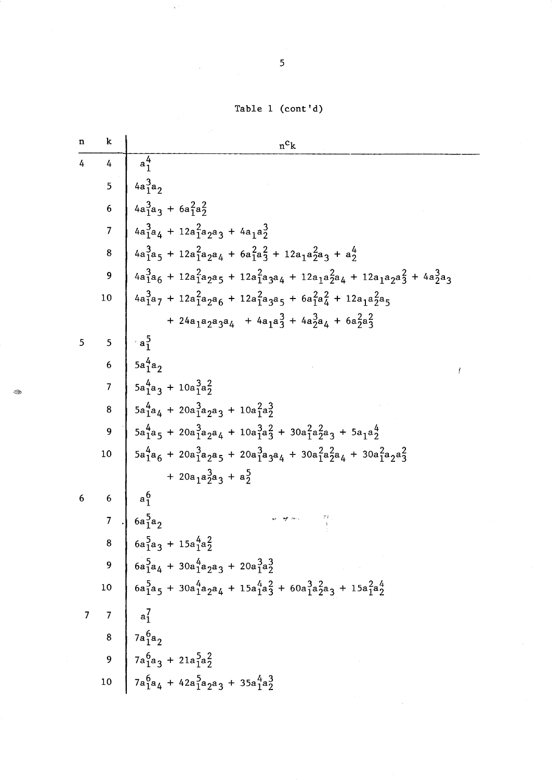Table 1 (cont'd)

| n              | k               | $n^c$ k                                                                                                                                                                                      |
|----------------|-----------------|----------------------------------------------------------------------------------------------------------------------------------------------------------------------------------------------|
| 4              | $\overline{4}$  | $a_1^4$                                                                                                                                                                                      |
|                | 5               | $4a_1^3a_2$                                                                                                                                                                                  |
|                | $6\phantom{1}6$ | $4a_1^3a_3 + 6a_1^2a_2^2$                                                                                                                                                                    |
|                | $\overline{7}$  | $4a_1^3a_4 + 12a_1^2a_2a_3 + 4a_1a_2^3$                                                                                                                                                      |
|                | 8               | $4a_1^3a_5 + 12a_1^2a_2a_4 + 6a_1^2a_3^2 + 12a_1a_2^2a_3 + a_2^4$                                                                                                                            |
|                | 9               | $4a_1^3a_6 + 12a_1^2a_2a_5 + 12a_1^2a_3a_4 + 12a_1a_2^2a_4 + 12a_1a_2a_3^2 + 4a_2^3a_3$                                                                                                      |
|                | 10              | $4a_1^3a_7 + 12a_1^2a_2a_6 + 12a_1^2a_3a_5 + 6a_1^2a_4^2 + 12a_1a_2^2a_5$                                                                                                                    |
|                |                 | + 24a <sub>1</sub> a <sub>2</sub> a <sub>3</sub> a <sub>4</sub> + 4a <sub>1</sub> a <sub>3</sub> <sup>3</sup> + 4a <sub>2</sub> a <sub>4</sub> + 6a <sub>2</sub> a <sub>3</sub> <sup>2</sup> |
| 5              | 5               | $a_1$                                                                                                                                                                                        |
|                | 6               | $5a_1^4a_2$                                                                                                                                                                                  |
|                | $\overline{7}$  | $5a_1^4a_3 + 10a_1^3a_2^2$                                                                                                                                                                   |
|                | 8               | $5a_1^4a_4 + 20a_1^3a_2a_3 + 10a_1^2a_2^3$                                                                                                                                                   |
|                | 9               | $5a_1^4a_5 + 20a_1^3a_2a_4 + 10a_1^3a_3^2 + 30a_1^2a_2^2a_3 + 5a_1a_2^4$                                                                                                                     |
|                | 10              | $5a_1^4a_6 + 20a_1^3a_2a_5 + 20a_1^3a_3a_4 + 30a_1^2a_2^2a_4 + 30a_1^2a_2a_3^2$                                                                                                              |
|                |                 | + $20a_1a_2^3a_3 + a_2^5$                                                                                                                                                                    |
| 6              | 6               | $a_1^6$                                                                                                                                                                                      |
|                | $\overline{7}$  | $6a_1^5a_2$                                                                                                                                                                                  |
|                | 8               | $6a_1^5a_3 + 15a_1^4a_2^2$                                                                                                                                                                   |
|                | 9               | $\begin{array}{r} 6a_1^5a_4 + 30a_1^4a_2a_3 + 20a_1^3a_2^3 \end{array}$                                                                                                                      |
|                | $10\,$          |                                                                                                                                                                                              |
| $\overline{7}$ |                 | $7 \mid a_1^7$                                                                                                                                                                               |
|                |                 | 8 $7a_1^6a_2$                                                                                                                                                                                |
|                | $\overline{9}$  | $7a_1^6a_3 + 21a_1^5a_2^2$                                                                                                                                                                   |
|                | $10\,$          | $13a_{1}^{6}a_{4} + 42a_{1}^{5}a_{2}a_{3} + 35a_{1}^{4}a_{2}^{3}$                                                                                                                            |

**R** 

 $\overline{5}$ 

 $\propto$  :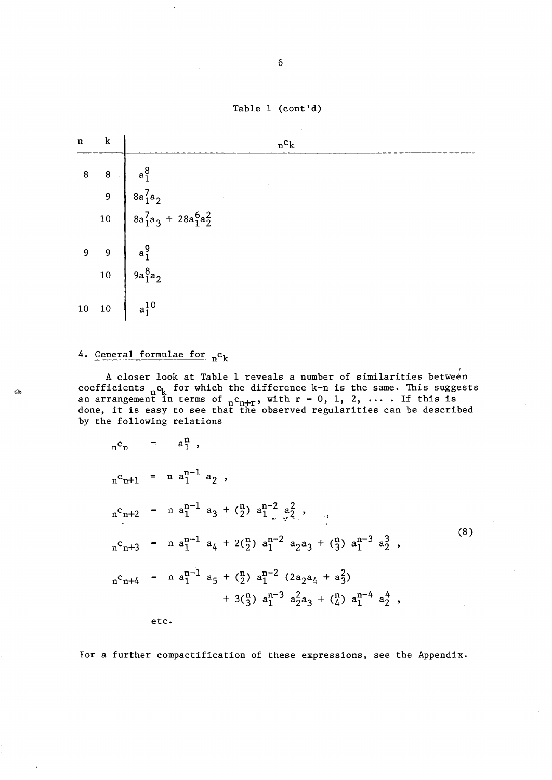Table 1 (cont'd)



# 4. General formulae for  $n<sup>c</sup>k$

t Cop

A closer look at Table 1 reveals a number of similarities between coefficients  ${}_{n}c_{k}$  for which the difference k-n is the same. This suggests<br>an arrangement in terms of  ${}_{n}c_{n+r}$ , with  $r = 0, 1, 2, ...$  If this is<br>done, it is easy to see that the observed regularities can be describe by the following relations

$$
{}_{n}c_{n+1} = a_{1}^{n},
$$
  
\n
$$
{}_{n}c_{n+1} = n a_{1}^{n-1} a_{2},
$$
  
\n
$$
{}_{n}c_{n+2} = n a_{1}^{n-1} a_{3} + \binom{n}{2} a_{1}^{n-2} a_{2}^{2},
$$
  
\n
$$
{}_{n}c_{n+3} = n a_{1}^{n-1} a_{4} + 2\binom{n}{2} a_{1}^{n-2} a_{2} a_{3} + \binom{n}{3} a_{1}^{n-3} a_{2}^{3},
$$
  
\n
$$
{}_{n}c_{n+4} = n a_{1}^{n-1} a_{5} + \binom{n}{2} a_{1}^{n-2} (2a_{2}a_{4} + a_{3}^{2}) + 3\binom{n}{3} a_{1}^{n-3} a_{2}^{2} a_{3} + \binom{n}{4} a_{1}^{n-4} a_{2}^{4},
$$
  
\netc. (8)

For a further compactification of these expressions, see the Appendix.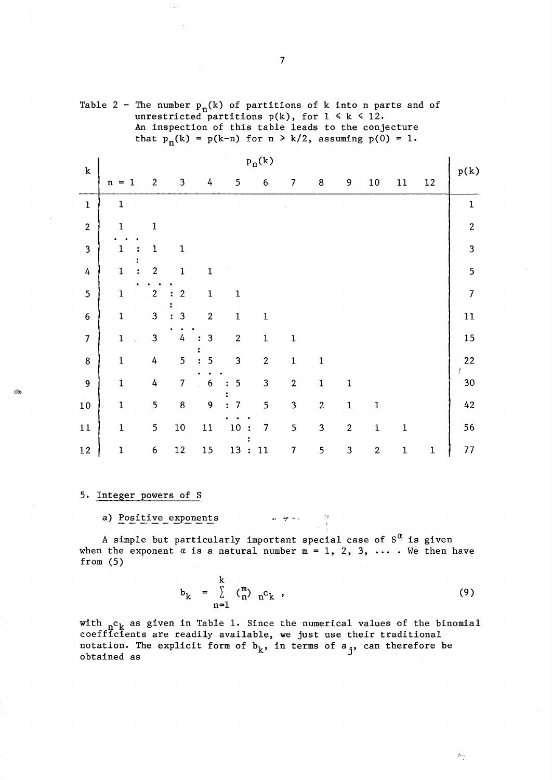|                  |              |  |                  |                |                                  | that $p_n(k) = p(k-n)$ for $n \ge k/2$ , assuming $p(0) = 1$ . |                  |                |                |                         |                |              |             |                  |
|------------------|--------------|--|------------------|----------------|----------------------------------|----------------------------------------------------------------|------------------|----------------|----------------|-------------------------|----------------|--------------|-------------|------------------|
|                  | $p_n(k)$     |  |                  |                |                                  |                                                                |                  |                |                |                         |                |              |             |                  |
| ${\bf k}$        | $n = 1$      |  | $\mathbf{2}$     | $\mathbf{3}$   | 4                                | 5                                                              | $6\phantom{.}6$  | 7              | $\bf 8$        | 9                       | $10\,$         | $11\,$       | 12          | p(k)             |
| $\mathbf 1$      | $\mathbf 1$  |  |                  |                |                                  |                                                                |                  |                |                |                         |                |              |             | $\mathbf{1}$     |
| $\boldsymbol{2}$ | $\mathbf 1$  |  | $\mathbf 1$      |                |                                  |                                                                |                  |                |                |                         |                |              |             | $\boldsymbol{2}$ |
| 3                | $\mathbf 1$  |  | $\mathbf 1$      | $\mathbf 1$    |                                  |                                                                |                  |                |                |                         |                |              |             | 3                |
| 4                | $\mathbf 1$  |  | $\overline{2}$   | $\mathbf{1}$   | $\mathbf 1$                      |                                                                |                  |                |                |                         |                |              |             | 5                |
| 5                | $\mathbf{1}$ |  | $\boldsymbol{2}$ | $\mathbf 2$    | $\mathbf{1}$                     | $\mathbf 1$                                                    |                  |                |                |                         |                |              |             | $\overline{7}$   |
| $\boldsymbol{6}$ | $\mathbf{1}$ |  | 3                | 3              | $\overline{2}$                   | $\mathbf 1$                                                    | $\mathbf 1$      |                |                |                         |                |              |             | $11\,$           |
| $\overline{7}$   | $\mathbf 1$  |  | $\mathbf{3}$     | $\overline{4}$ | 3                                | $\boldsymbol{2}$                                               | $\mathbf 1$      | $\mathbf 1$    |                |                         |                |              |             | 15               |
| $\bf 8$          | $\mathbf 1$  |  | 4                | 5              | 5<br>$\ddot{\cdot}$              | 3                                                              | $\boldsymbol{2}$ | $\mathbf 1$    | $\mathbf 1$    |                         |                |              |             | 22<br>f.         |
| 9                | $\mathbf{1}$ |  | 4                | $\overline{7}$ | $\boldsymbol{6}$<br>$\mathbf{r}$ | 5<br>$\ddot{\phantom{a}}$                                      | $\mathbf{3}$     | $\overline{2}$ | $\mathbf{1}$   | $\mathbf 1$             |                |              |             | $30\,$           |
| $10\,$           | $\mathbf{1}$ |  | 5                | 8              | 9                                | $\overline{7}$                                                 | 5                | 3              | $\overline{2}$ | $\mathbf 1$             | $\mathbf{1}$   |              |             | 42               |
| $1\,1$           | $\mathbf{I}$ |  | 5                | $10\,$         | $11\,$                           | $10\,$<br>$\cdot$ :                                            | $\overline{7}$   | 5              | $\mathbf 3$    | $\overline{\mathbf{c}}$ | $\mathbf 1$    | $\mathbf{1}$ |             | 56               |
| $1\,2$           | $\mathbf{1}$ |  | $\boldsymbol{6}$ | $12\,$         | $15\,$                           | 13:                                                            | 11               | $\overline{7}$ | 5              | $\overline{\mathbf{3}}$ | $\overline{c}$ | $\mathbf 1$  | $\mathbf 1$ | $77 \,$          |

unrestricted partitions  $p(k)$ , for  $1 \le k \le 12$ . An inspection of this table leads to the conjecture

Table 2 - The number  $p_n(k)$  of partitions of k into n parts and of

# 5. Integer powers of S

#### a) Positive exponents  $\mathcal{G}(\mathcal{G})$ an interview

A simple but particularly important special case of  $S^{\alpha}$  is given when the exponent  $\alpha$  is a natural number  $m = 1, 2, 3, \ldots$ . We then have from (5)

$$
b_k = \sum_{n=1}^{k} \binom{m}{n} n^c k \qquad (9)
$$

with  $n_c$  as given in Table 1. Since the numerical values of the binomial coefficients are readily available, we just use their traditional notation. The explicit form of  $b_k$ , in terms of  $a_j$ , can therefore be obtained as

 $\circledast$ 

 $\mathcal{P}$  .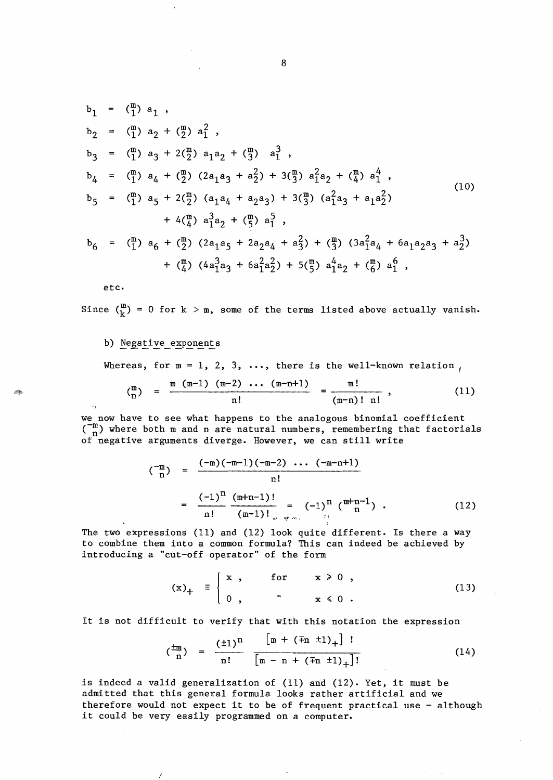$$
b_1 = {m \choose 1} a_1 ,
$$
  
\n
$$
b_2 = {m \choose 1} a_2 + {m \choose 2} a_1^2 ,
$$
  
\n
$$
b_3 = {m \choose 1} a_3 + 2{m \choose 2} a_1 a_2 + {m \choose 3} a_1^3 ,
$$
  
\n
$$
b_4 = {m \choose 1} a_4 + {m \choose 2} (2a_1 a_3 + a_2^2) + 3{m \choose 3} a_1^2 a_2 + {m \choose 4} a_1^4 ,
$$
  
\n
$$
b_5 = {m \choose 1} a_5 + 2{m \choose 2} (a_1 a_4 + a_2 a_3) + 3{m \choose 3} (a_1^2 a_3 + a_1 a_2^2) + 4{m \choose 4} a_1^3 a_2 + {m \choose 5} a_1^5 ,
$$
  
\n
$$
b_6 = {m \choose 1} a_6 + {m \choose 2} (2a_1 a_5 + 2a_2 a_4 + a_3^2) + {m \choose 3} (3a_1^2 a_4 + 6a_1 a_2 a_3 + a_2^3) + {m \choose 4} (4a_1^3 a_3 + 6a_1^2 a_2^2) + 5{m \choose 5} a_1^4 a_2 + {m \choose 6} a_1^6 ,
$$
  
\n(10)

etc.

Since  $\binom{m}{k}$  = 0 for  $k > m$ , some of the terms listed above actually vanish.

#### b) Negative exponents

I

Whereas, for  $m = 1, 2, 3, \ldots$ , there is the well-known relation,

$$
{m \choose n} = \frac{m (m-1) (m-2) \cdots (m-n+1)}{n!} = \frac{m!}{(m-n)! n!},
$$
 (11)

we now have to see what happens to the analogous binomial coefficient  $\binom{-m}{n}$  where both m and n are natural numbers, remembering that factorials of negative arguments diverge. However, we can still write

$$
\begin{array}{rcl}\n(\begin{array}{c}\n-\text{m} \\
\text{n}\n\end{array}) & = & \frac{(-\text{m})(-\text{m}-1)(-\text{m}-2) \cdots (-\text{m}-\text{n}+1)}{\text{n}!} \\
& = & \frac{(-1)^{\text{n}}}{\text{n}!} \frac{(\text{m}+\text{n}-1)!}{(\text{m}-1)!} = & (-1)^{\text{n}} \binom{\text{m}+\text{n}-1}{\text{n}} \end{array} .\n\end{array} \tag{12}
$$

The two expressions (11) and (12) look quite different. Is there a way to combine them into a common formula? This can indeed be achieved by introducing a "cut-off operator" of the form

$$
(\mathbf{x})_{+} = \begin{cases} \mathbf{x} , & \text{for} & \mathbf{x} \geq 0 , \\ 0 , & \mathbf{x} \leq 0 . \end{cases} \tag{13}
$$

It is not difficult to verify that with this notation the expression

$$
\left(\frac{pm}{n}\right) = \frac{(\pm 1)^n}{n!} \frac{\lfloor m + (\mp n \pm 1)_{+} \rfloor !}{\lfloor m - n + (\mp n \pm 1)_{+} \rfloor !} \tag{14}
$$

is indeed a valid generalization of (11) and (12). Yet, it must be admitted that this general formula looks rather artificial and we therefore would not expect it to be of frequent practical use - although it could be very easily programmed on a computer.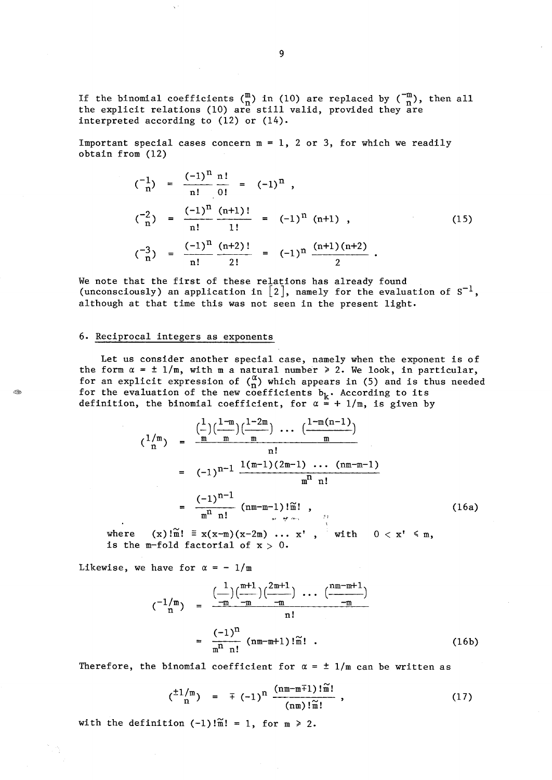If the binomial coefficients  $\binom{m}{n}$  in (10) are replaced by  $\binom{-m}{n}$ , then all the explicit relations (10) are still valid, provided they are interpreted according to (12) or (14).

Important special cases concern  $m = 1$ , 2 or 3, for which we readily obtain from (12)

$$
\begin{aligned}\n\binom{-1}{n} &= \frac{(-1)^n}{n!} \frac{n!}{0!} = (-1)^n , \\
\binom{-2}{n} &= \frac{(-1)^n}{n!} \frac{(n+1)!}{1!} = (-1)^n (n+1) , \\
\binom{-3}{n} &= \frac{(-1)^n}{n!} \frac{(n+2)!}{2!} = (-1)^n \frac{(n+1)(n+2)}{2} .\n\end{aligned}
$$
\n(15)

We note that the first of these relations has already found (unconsciously) an application in  $\lfloor 2 \rfloor$ , namely for the evaluation of  $S^{-1}$ , although at that time this was not seen in the present light.

## 6. Reciprocal integers as exponents

Let us consider another special case, namely when the exponent is of the form  $\alpha = \pm 1/m$ , with m a natural number  $\ge 2$ . We look, in particular, for an explicit expression of  $\binom{\alpha}{n}$  which appears in (5) and is thus needed for the evaluation of the new coefficients  $b_k$ . According to its definition, the binomial coefficient, for  $\alpha = + 1/m$ , is given by

$$
\begin{array}{lll}\n\binom{1/m}{n} & = & \frac{\binom{1}{m}\binom{1-m}{m}\binom{1-2m}{m}}{m} \cdots \frac{\binom{1-m(n-1)}{m}}{m} \\
& = & (-1)^{n-1} \frac{1(m-1)(2m-1) \cdots (nm-m-1)}{m^n n!} \\
& = & \frac{(-1)^{n-1}}{m^n n!} \left( nm - m - 1 \right)! \widetilde{n}! \\
(x) \widetilde{n}! & \equiv x(x-m)(x-2m) \cdots x', \quad \text{with} \quad 0 < x' \leq m,\n\end{array}\n\tag{16a}
$$

where  $(x)$ ! $\overline{m}$ ! =  $x(x-m)(x-2m) \cdots x'$ , is the m-fold factorial of  $x > 0$ . with

Likewise, we have for  $\alpha = -1/m$ 

$$
\begin{array}{rcl}\n\binom{-1/m}{n} & = & \frac{\binom{1}{m} \binom{m+1}{m} \binom{2m+1}{m}}{m} \\
& = & \frac{\binom{-1}{m} \binom{m}{m} \binom{2m+1}{m}}{n!} \\
& = & \frac{\binom{-1}{n} \binom{m}{m}}{m!} \quad \text{(16b)}\n\end{array}
$$

Therefore, the binomial coefficient for  $\alpha = \pm 1/m$  can be written as

$$
{\frac{\frac{\pm 1}{m}}{n}} = \mp (-1)^n \frac{\frac{\frac{(nm-m+1)!}{m!}}{\frac{1}{m!}}}{\frac{1}{m}!}, \qquad (17)
$$

 $\ddot{\phantom{a}}$ 

with the definition  $(-1)$ ! $\widetilde{m}! = 1$ , for  $m \ge 2$ .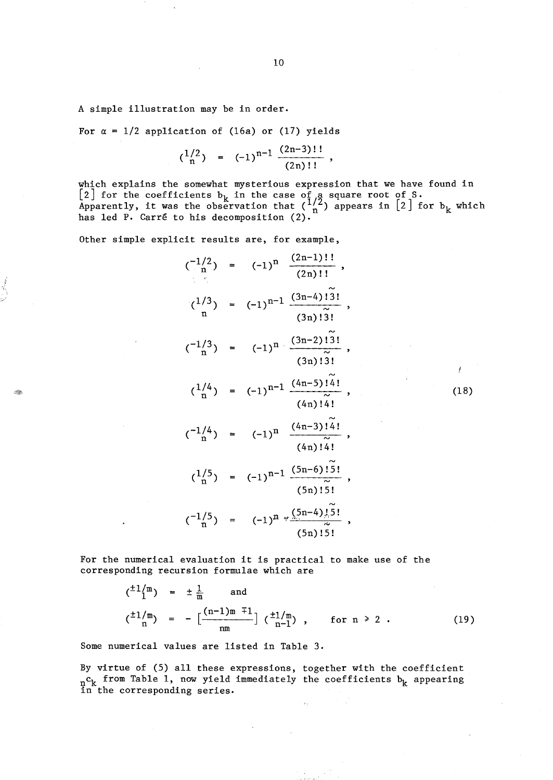A simple illustration may be in order.

 $_{\odot}$ 

For  $\alpha = 1/2$  application of (16a) or (17) yields

$$
{1/2 \choose n} = (-1)^{n-1} \frac{(2n-3)!!}{(2n)!!},
$$

which explains the somewhat mysterious expression that we have found in [2] for the coefficients  $b_k$  in the case of a square root of S. Apparently, it was the observation that  $\binom{1/2}{n}$  appears in  $\lfloor 2 \rfloor$  for  $b_k$  which has led P. Carré to his decomposition (2).

Other simple explicit results are, for example,

$$
\begin{array}{rcl}\n\binom{-1/2}{n} &=& (-1)^n & \frac{(2n-1)!!}{(2n)!!}, \\
\binom{1/3}{n} &=& (-1)^{n-1} & \frac{(3n-4)!\,3!}{(3n)!\,3!}, \\
\binom{-1/3}{n} &=& (-1)^n & \frac{(3n-2)!\,3!}{(3n)!\,3!}, \\
\binom{1/4}{n} &=& (-1)^{n-1} & \frac{(4n-5)!\,4!}{(4n)!\,4!}, \\
\binom{-1/4}{n} &=& (-1)^n & \frac{(4n-3)!\,4!}{(4n)!\,4!}, \\
\binom{1/5}{n} &=& (-1)^{n-1} & \frac{(5n-6)!\,5!}{(5n)!\,5!}, \\
\binom{-1/5}{n} &=& (-1)^n & \frac{(5n-4)!\,5!}{(5n)!\,5!}, \\
\end{array}
$$

(18)

Y

For the numerical evaluation it is practical to make use of the corresponding recursion formulae which are

$$
\begin{array}{rcl}\n\binom{\pm 1}{1}^{m} & = & \pm \frac{1}{m} \qquad \text{and} \\
\binom{\pm 1}{m} & = & -\left[ \frac{(n-1)m + 1}{nm} \right] \binom{\pm 1}{n-1} \,, \qquad \text{for } n \geq 2 \,. \n\end{array} \tag{19}
$$

Some numerical values are listed in Table 3.

By virtue of (5) all these expressions, together with the coefficient  $n_c$  from Table 1, now yield immediately the coefficients  $b_k$  appearing in the corresponding series.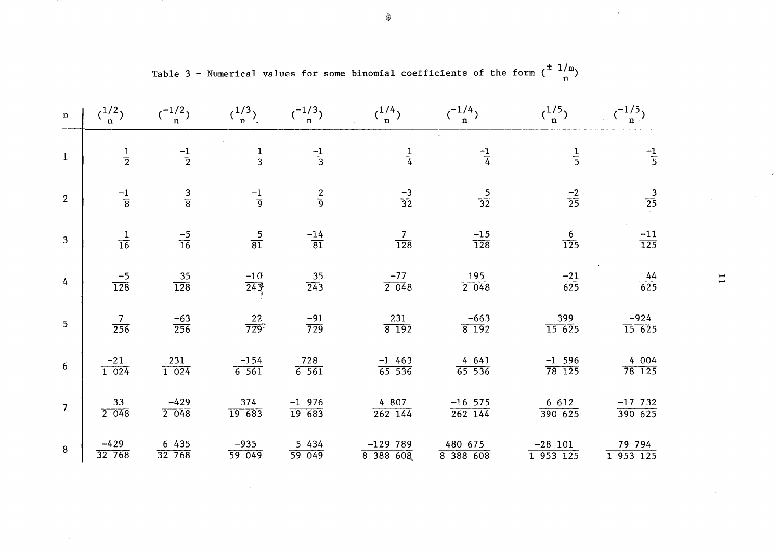| $\mathbf n$    | $\binom{1/2}{n}$       | $\binom{-1/2}{n}$      | (1/3)<br>n.         | (1/3)                    | $\binom{1/4}{n}$       | $\binom{-1/4}{n}$                   | $\binom{1/5}{n}$              | $\binom{-1/5}{n}$            |
|----------------|------------------------|------------------------|---------------------|--------------------------|------------------------|-------------------------------------|-------------------------------|------------------------------|
| $\mathbf 1$    | $\frac{1}{2}$          | $\frac{-1}{2}$         | $\frac{1}{3}$       | $\frac{-1}{3}$           | $\frac{1}{4}$          | $\frac{-1}{4}$                      | $\frac{1}{5}$                 | $\frac{-1}{5}$               |
| $\overline{2}$ | $\frac{-1}{8}$         | $\frac{3}{8}$          | $\frac{-1}{9}$      | $rac{2}{9}$              | $\frac{-3}{32}$        | $\frac{5}{32}$                      | $\frac{-2}{25}$               | $\frac{3}{25}$               |
| $\overline{3}$ | $\frac{1}{16}$         | $\frac{-5}{16}$        | $\frac{5}{81}$      | $\frac{-14}{81}$         | $\frac{7}{128}$        | $\frac{-15}{128}$                   | $\frac{6}{125}$               | $\frac{-11}{125}$            |
| $\overline{4}$ | $\frac{-5}{128}$       | $\frac{35}{128}$       | $\frac{-10}{243}$   | $\frac{35}{243}$         | $\frac{-77}{2\ \ 048}$ | $\frac{195}{2\ 048}$                | $\frac{-21}{625}$             | $\frac{44}{625}$             |
| 5 <sub>5</sub> | $\frac{7}{256}$        | $\frac{-63}{256}$      | $\frac{22}{729}$    | $\frac{-91}{729}$        | $\frac{231}{8192}$     | $\frac{-663}{8192}$                 | $\frac{399}{15625}$           | $\frac{-924}{15625}$         |
| $6\phantom{1}$ | $\frac{-21}{1\ 024}$   | $\frac{231}{1\;\;024}$ | $\frac{-154}{6561}$ | $\frac{728}{6\cdot 561}$ | $\frac{-1}{65}$ 536    | $\frac{4\ \ 641}{65\ \ 536}$        | $\frac{-1\ \ 596}{78\ \ 125}$ | $\frac{4\ \ 004}{78\ \ 125}$ |
| $\overline{7}$ | $\frac{33}{2\cdot048}$ | $-429$<br>2048         | 374<br>19683        | $-1$ 976<br>19683        | 4 807<br>$262$ 144     | $\frac{-16}{262}$ $\frac{575}{144}$ | 6 6 1 2<br>390625             | $-17,732$<br>390625          |
| 8              | $-429$<br>32 768       | 6 435<br>32 768        | $-935$<br>59 049    | 5 4 3 4<br>59 049        | $-129789$<br>8 388 608 | 480 675<br>8 388 608                | $-28$ 101<br>1953125          | 79 794<br>1953125            |

Table 3 - Numerical values for some binomial coefficients of the form  $\binom{\pm 1/m}{n}$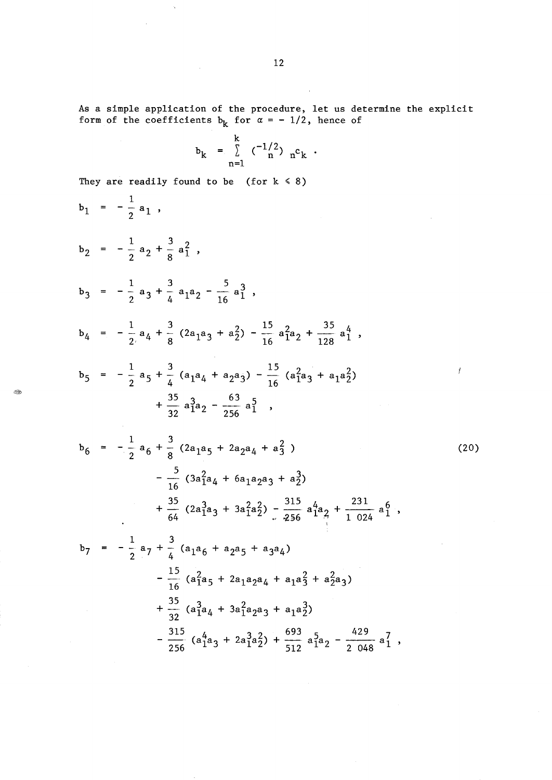As a simple application of the procedure, let us determine the explicit form of the coefficients  $b_k$  for  $\alpha = -1/2$ , hence of

$$
b_k = \sum_{n=1}^k (-\binom{-1/2}{n} n^c k .
$$

They are readily found to be (for  $k \le 8$ )

 $\sim 10^{-11}$ 

 $\sim$   $\infty$ 

 $\bar{z}$ 

$$
b_1 = -\frac{1}{2} a_1 ,
$$
  
\n
$$
b_2 = -\frac{1}{2} a_2 + \frac{3}{8} a_1^2 ,
$$
  
\n
$$
b_3 = -\frac{1}{2} a_3 + \frac{3}{4} a_1 a_2 - \frac{5}{16} a_1^3 ,
$$
  
\n
$$
b_4 = -\frac{1}{2} a_4 + \frac{3}{8} (2 a_1 a_3 + a_2^2) - \frac{15}{16} a_1^2 a_2 + \frac{35}{128} a_1^4 ,
$$
  
\n
$$
b_5 = -\frac{1}{2} a_5 + \frac{3}{4} (a_1 a_4 + a_2 a_3) - \frac{15}{16} (a_1^2 a_3 + a_1 a_2^2) + \frac{35}{32} a_1^3 a_2 - \frac{63}{256} a_1^5 ,
$$
  
\n
$$
b_6 = -\frac{1}{2} a_6 + \frac{3}{8} (2 a_1 a_5 + 2 a_2 a_4 + a_2^2) + \frac{35}{16} (3 a_1^2 a_4 + 6 a_1 a_2 a_3 + a_2^3) + \frac{35}{64} (2 a_1^3 a_3 + 3 a_1^2 a_2^2) - \frac{315}{256} a_1^4 a_2 + \frac{231}{1024} a_1^6 ,
$$
  
\n
$$
b_7 = -\frac{1}{2} a_7 + \frac{3}{4} (a_1 a_6 + a_2 a_5 + a_3 a_4) - \frac{15}{16} (a_1^2 a_5 + 2 a_1 a_2 a_4 + a_1 a_3^2 + a_2^2 a_3) + \frac{35}{32} (a_1^3 a_4 + 3 a_1^2 a_2 a_3 + a_1 a_2^3) - \frac{315}{256} (a_1^4 a_3 + 2 a_1^3 a_2^2) + \frac{693}{512} a_1^5 a_2 - \frac{429}{2048} a_1^7 ,
$$

12

 $\sim$ 

.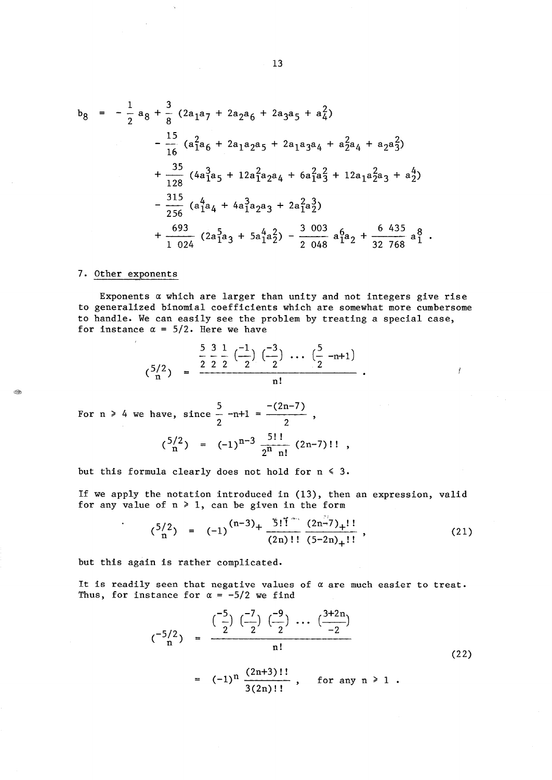$$
b_{8} = -\frac{1}{2} a_{8} + \frac{3}{8} (2a_{1}a_{7} + 2a_{2}a_{6} + 2a_{3}a_{5} + a_{4}^{2})
$$
  
\n
$$
-\frac{15}{16} (a_{1}^{2}a_{6} + 2a_{1}a_{2}a_{5} + 2a_{1}a_{3}a_{4} + a_{2}^{2}a_{4} + a_{2}a_{3}^{2})
$$
  
\n
$$
+\frac{35}{128} (4a_{1}^{3}a_{5} + 12a_{1}^{2}a_{2}a_{4} + 6a_{1}^{2}a_{3}^{2} + 12a_{1}a_{2}^{2}a_{3} + a_{2}^{4})
$$
  
\n
$$
-\frac{315}{256} (a_{1}^{4}a_{4} + 4a_{1}^{3}a_{2}a_{3} + 2a_{1}^{2}a_{2}^{3})
$$
  
\n
$$
+\frac{693}{1024} (2a_{1}^{5}a_{3} + 5a_{1}^{4}a_{2}^{2}) - \frac{3003}{2048} a_{1}^{6}a_{2} + \frac{6435}{32768} a_{1}^{8}.
$$

# 7. Other exponents

 $\hat{\textbf{z}}$ 

Exponents *a* which are larger than unity and not integers give rise to generalized binomial coefficients which are somewhat more cumbersome to handle. We can easily see the problem by treating a special case, for instance  $\alpha = 5/2$ . Here we have

$$
\binom{5/2}{n} = \frac{\frac{5}{2} \cdot \frac{3}{2} \cdot \frac{1}{2} \cdot \left(-\frac{1}{2}\right) \cdot \left(-\frac{3}{2}\right) \cdot \cdot \cdot \cdot \cdot \cdot \cdot \cdot}{n!}.
$$

For n > 4 we have, since 
$$
\frac{5}{2}
$$
 -n+1 =  $\frac{-(2n-7)}{2}$ ,  
 $\binom{5/2}{n} = (-1)^{n-3} \frac{5!}{2^n} \frac{(2n-7)!}{n!}$ ,

but this formula clearly does not hold for  $n \leq 3$ .

If we apply the notation introduced in (13), then an expression, valid for any value of  $n \ge 1$ , can be given in the form

$$
{5/2 \choose n} = (-1)^{(n-3)} + \frac{5! \tilde{1} \cdots (2n-7)}{(2n)!!} \frac{(2n-7)}{(5-2n)+1!},
$$
 (21)

Ť

but this again is rather complicated.

It is readily seen that negative values of  $\alpha$  are much easier to treat. Thus, for instance for  $\alpha = -5/2$  we find

$$
(^{-5/2}_{n}) = \frac{{\binom{-5}{2}} \, {\binom{-7}{2}} \, {\binom{-9}{2}} \, \cdots \, {\binom{3+2n}{-2}}}{n!} \tag{22}
$$

$$
= (-1)^n \frac{(2n+3)!!}{3(2n)!!}, \text{ for any } n \ge 1.
$$

t San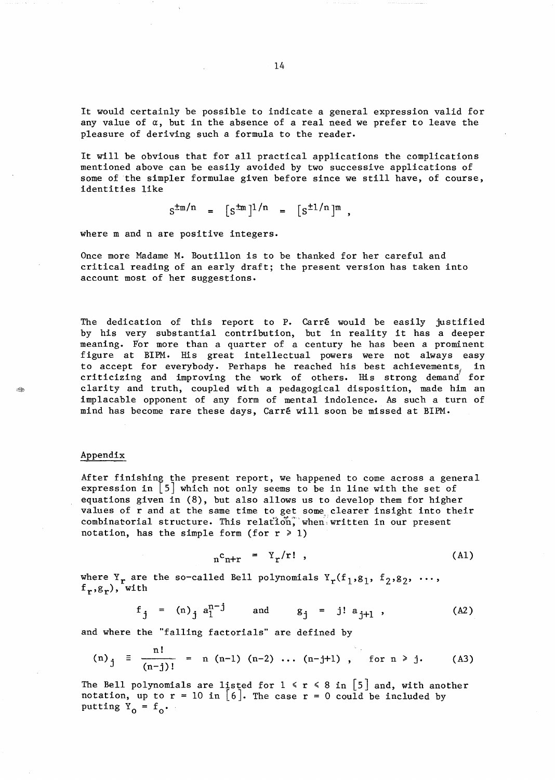It would certainly be possible to indicate a general expression valid for any value of  $\alpha$ , but in the absence of a real need we prefer to leave the pleasure of deriving such a formula to the reader.

It will be obvious that for all practical applications the complications mentioned above can be easily avoided by two successive applications of some of the simpler formulae given before since we still have, of course, identities like

$$
s^{\pm m/n} = [s^{\pm m}]^{1/n} = [s^{\pm 1/n}]^{m}
$$
,

where m and n are positive integers.

Once more Madame M. Boutillon is to be thanked for her careful and critical reading of an early draft; the present version has taken into account most of her suggestions.

The dedication of this report to P. Carré would be easily justified by his very substantial contribution, but in reality it has a deeper meaning. For more than a quarter of a century he has been a prominent figure at BIPM. His great intellectual powers were not always easy to accept for everybody. Perhaps he reached his best achievements, in criticizing and improving the work of others. His strong demand' for clarity and truth, coupled with a pedagogical disposition, made him an implacable opponent of any form of mental indolence. As such a turn of mind has become rare these days, Carre will soon be missed at BIPM.

## Appendix

After finishing the present report, we happened to come across a general expression in  $\lfloor 5 \rfloor$  which not only seems to be in line with the set of equations given in (8), but also allows us to develop them for higher values of r and at the same time to get some, clearer insight into their combinatorial structure. This relation, when written in our present notation, has the simple form (for  $r \geq 1$ )

$$
n^{c}n+r = Y_{r}/r!, \qquad (A1)
$$

where  $Y_r$  are the so-called Bell polynomials  $Y_r(f_1, g_1, f_2, g_2, \ldots,$  $f_r, g_r$ ), with

$$
f_j = (n)_j a_1^{n-j}
$$
 and  $g_j = j! a_{j+1}$ , (A2)

and where the "falling factorials" are defined by

(n)<sub>j</sub> 
$$
\equiv \frac{n!}{(n-j)!}
$$
 = n (n-1) (n-2) ... (n-j+1), for n > j. (A3)

The Bell polynomials are listed for  $1 \le r \le 8$  in  $\lfloor 5 \rfloor$  and, with another notation, up to  $r = 10$  in [6]. The case  $r = 0$  could be included by putting  $Y_0 = f_0$ .